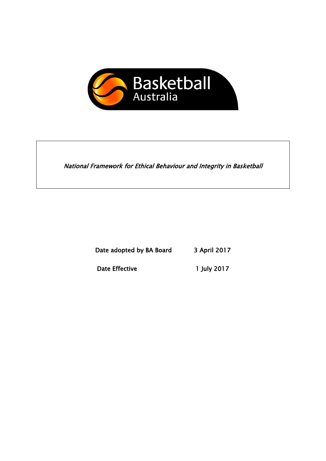

National Framework for Ethical Behaviour and Integrity in Basketball

Date adopted by BA Board 3 April 2017

Date Effective 1 July 2017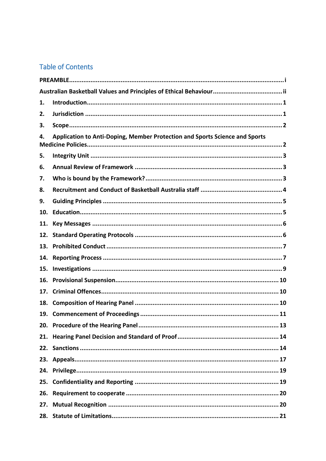# **Table of Contents**

| 1.                                                                                |  |  |  |
|-----------------------------------------------------------------------------------|--|--|--|
| 2.                                                                                |  |  |  |
| 3.                                                                                |  |  |  |
| Application to Anti-Doping, Member Protection and Sports Science and Sports<br>4. |  |  |  |
| 5.                                                                                |  |  |  |
| 6.                                                                                |  |  |  |
| 7.                                                                                |  |  |  |
| 8.                                                                                |  |  |  |
| 9.                                                                                |  |  |  |
| 10.                                                                               |  |  |  |
| 11.                                                                               |  |  |  |
| 12.                                                                               |  |  |  |
| 13.                                                                               |  |  |  |
| 14.                                                                               |  |  |  |
| 15.                                                                               |  |  |  |
| 16.                                                                               |  |  |  |
| 17.                                                                               |  |  |  |
| 18.                                                                               |  |  |  |
| 19.                                                                               |  |  |  |
|                                                                                   |  |  |  |
| 21.                                                                               |  |  |  |
|                                                                                   |  |  |  |
|                                                                                   |  |  |  |
| 24.                                                                               |  |  |  |
| 25.                                                                               |  |  |  |
| 26.                                                                               |  |  |  |
| 27.                                                                               |  |  |  |
|                                                                                   |  |  |  |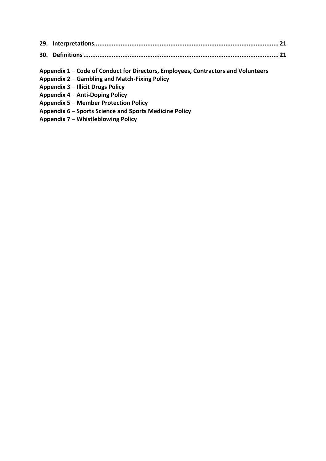**Appendix 1 – Code of Conduct for Directors, Employees, Contractors and Volunteers** 

- **Appendix 2 – Gambling and Match-Fixing Policy**
- **Appendix 3 – Illicit Drugs Policy**

**Appendix 4 – Anti-Doping Policy**

**Appendix 5 – Member Protection Policy**

- **Appendix 6 – Sports Science and Sports Medicine Policy**
- **Appendix 7 – Whistleblowing Policy**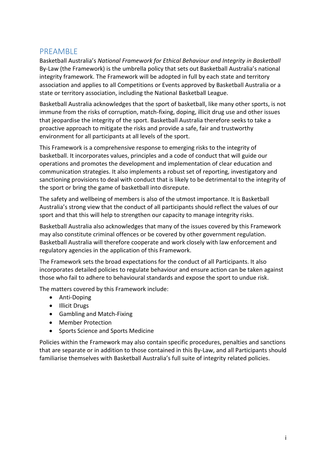### <span id="page-3-0"></span>PREAMBLE

Basketball Australia's *National Framework for Ethical Behaviour and Integrity in Basketball* By-Law (the Framework) is the umbrella policy that sets out Basketball Australia's national integrity framework. The Framework will be adopted in full by each state and territory association and applies to all Competitions or Events approved by Basketball Australia or a state or territory association, including the National Basketball League.

Basketball Australia acknowledges that the sport of basketball, like many other sports, is not immune from the risks of corruption, match-fixing, doping, illicit drug use and other issues that jeopardise the integrity of the sport. Basketball Australia therefore seeks to take a proactive approach to mitigate the risks and provide a safe, fair and trustworthy environment for all participants at all levels of the sport.

This Framework is a comprehensive response to emerging risks to the integrity of basketball. It incorporates values, principles and a code of conduct that will guide our operations and promotes the development and implementation of clear education and communication strategies. It also implements a robust set of reporting, investigatory and sanctioning provisions to deal with conduct that is likely to be detrimental to the integrity of the sport or bring the game of basketball into disrepute.

The safety and wellbeing of members is also of the utmost importance. It is Basketball Australia's strong view that the conduct of all participants should reflect the values of our sport and that this will help to strengthen our capacity to manage integrity risks.

Basketball Australia also acknowledges that many of the issues covered by this Framework may also constitute criminal offences or be covered by other government regulation. Basketball Australia will therefore cooperate and work closely with law enforcement and regulatory agencies in the application of this Framework.

The Framework sets the broad expectations for the conduct of all Participants. It also incorporates detailed policies to regulate behaviour and ensure action can be taken against those who fail to adhere to behavioural standards and expose the sport to undue risk.

The matters covered by this Framework include:

- Anti-Doping
- Illicit Drugs
- Gambling and Match-Fixing
- Member Protection
- Sports Science and Sports Medicine

Policies within the Framework may also contain specific procedures, penalties and sanctions that are separate or in addition to those contained in this By-Law, and all Participants should familiarise themselves with Basketball Australia's full suite of integrity related policies.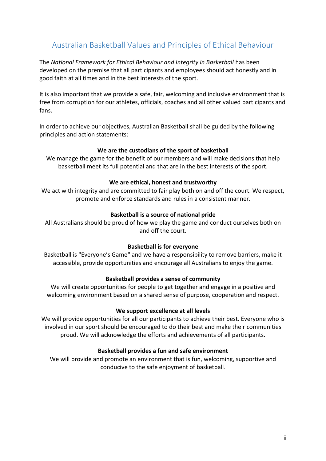# <span id="page-4-0"></span>Australian Basketball Values and Principles of Ethical Behaviour

The *National Framework for Ethical Behaviour and Integrity in Basketball* has been developed on the premise that all participants and employees should act honestly and in good faith at all times and in the best interests of the sport.

It is also important that we provide a safe, fair, welcoming and inclusive environment that is free from corruption for our athletes, officials, coaches and all other valued participants and fans.

In order to achieve our objectives, Australian Basketball shall be guided by the following principles and action statements:

#### **We are the custodians of the sport of basketball**

We manage the game for the benefit of our members and will make decisions that help basketball meet its full potential and that are in the best interests of the sport.

#### **We are ethical, honest and trustworthy**

We act with integrity and are committed to fair play both on and off the court. We respect, promote and enforce standards and rules in a consistent manner.

#### **Basketball is a source of national pride**

All Australians should be proud of how we play the game and conduct ourselves both on and off the court.

#### **Basketball is for everyone**

Basketball is "Everyone's Game" and we have a responsibility to remove barriers, make it accessible, provide opportunities and encourage all Australians to enjoy the game.

#### **Basketball provides a sense of community**

We will create opportunities for people to get together and engage in a positive and welcoming environment based on a shared sense of purpose, cooperation and respect.

#### **We support excellence at all levels**

We will provide opportunities for all our participants to achieve their best. Everyone who is involved in our sport should be encouraged to do their best and make their communities proud. We will acknowledge the efforts and achievements of all participants.

#### **Basketball provides a fun and safe environment**

We will provide and promote an environment that is fun, welcoming, supportive and conducive to the safe enjoyment of basketball.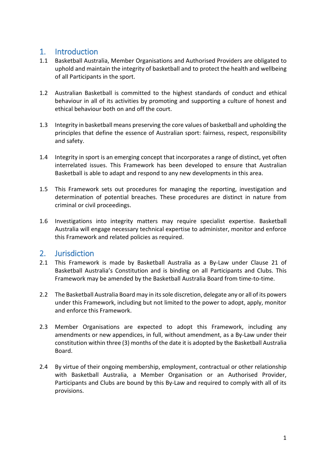# <span id="page-5-0"></span>1. Introduction

- 1.1 Basketball Australia, Member Organisations and Authorised Providers are obligated to uphold and maintain the integrity of basketball and to protect the health and wellbeing of all Participants in the sport.
- 1.2 Australian Basketball is committed to the highest standards of conduct and ethical behaviour in all of its activities by promoting and supporting a culture of honest and ethical behaviour both on and off the court.
- 1.3 Integrity in basketball means preserving the core values of basketball and upholding the principles that define the essence of Australian sport: fairness, respect, responsibility and safety.
- 1.4 Integrity in sport is an emerging concept that incorporates a range of distinct, yet often interrelated issues. This Framework has been developed to ensure that Australian Basketball is able to adapt and respond to any new developments in this area.
- 1.5 This Framework sets out procedures for managing the reporting, investigation and determination of potential breaches. These procedures are distinct in nature from criminal or civil proceedings.
- 1.6 Investigations into integrity matters may require specialist expertise. Basketball Australia will engage necessary technical expertise to administer, monitor and enforce this Framework and related policies as required.

# <span id="page-5-1"></span>2. Jurisdiction

- 2.1 This Framework is made by Basketball Australia as a By-Law under Clause 21 of Basketball Australia's Constitution and is binding on all Participants and Clubs. This Framework may be amended by the Basketball Australia Board from time-to-time.
- 2.2 The Basketball Australia Board may in its sole discretion, delegate any or all of its powers under this Framework, including but not limited to the power to adopt, apply, monitor and enforce this Framework.
- 2.3 Member Organisations are expected to adopt this Framework, including any amendments or new appendices, in full, without amendment, as a By-Law under their constitution within three (3) months of the date it is adopted by the Basketball Australia Board.
- 2.4 By virtue of their ongoing membership, employment, contractual or other relationship with Basketball Australia, a Member Organisation or an Authorised Provider, Participants and Clubs are bound by this By-Law and required to comply with all of its provisions.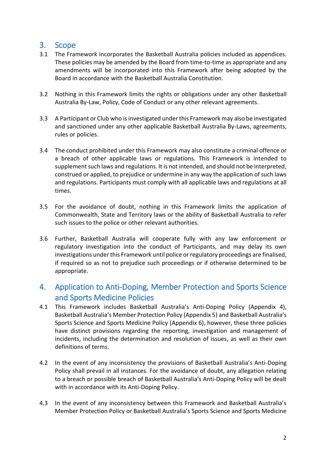# <span id="page-6-0"></span>3. Scope

- 3.1 The Framework incorporates the Basketball Australia policies included as appendices. These policies may be amended by the Board from time-to-time as appropriate and any amendments will be incorporated into this Framework after being adopted by the Board in accordance with the Basketball Australia Constitution.
- 3.2 Nothing in this Framework limits the rights or obligations under any other Basketball Australia By-Law, Policy, Code of Conduct or any other relevant agreements.
- 3.3 A Participant or Club who is investigated under this Framework may also be investigated and sanctioned under any other applicable Basketball Australia By-Laws, agreements, rules or policies.
- 3.4 The conduct prohibited under this Framework may also constitute a criminal offence or a breach of other applicable laws or regulations. This Framework is intended to supplement such laws and regulations. It is not intended, and should not be interpreted, construed or applied, to prejudice or undermine in any way the application of such laws and regulations. Participants must comply with all applicable laws and regulations at all times.
- 3.5 For the avoidance of doubt, nothing in this Framework limits the application of Commonwealth, State and Territory laws or the ability of Basketball Australia to refer such issues to the police or other relevant authorities.
- 3.6 Further, Basketball Australia will cooperate fully with any law enforcement or regulatory investigation into the conduct of Participants, and may delay its own investigations under this Framework until police or regulatory proceedings are finalised, if required so as not to prejudice such proceedings or if otherwise determined to be appropriate.

# <span id="page-6-1"></span>4. Application to Anti-Doping, Member Protection and Sports Science and Sports Medicine Policies

- 4.1 This Framework includes Basketball Australia's Anti-Doping Policy (Appendix 4), Basketball Australia's Member Protection Policy (Appendix 5) and Basketball Australia's Sports Science and Sports Medicine Policy (Appendix 6), however, these three policies have distinct provisions regarding the reporting, investigation and management of incidents, including the determination and resolution of issues, as well as their own definitions of terms.
- 4.2 In the event of any inconsistency the provisions of Basketball Australia's Anti-Doping Policy shall prevail in all instances. For the avoidance of doubt, any allegation relating to a breach or possible breach of Basketball Australia's Anti-Doping Policy will be dealt with in accordance with its Anti-Doping Policy.
- 4.3 In the event of any inconsistency between this Framework and Basketball Australia's Member Protection Policy or Basketball Australia's Sports Science and Sports Medicine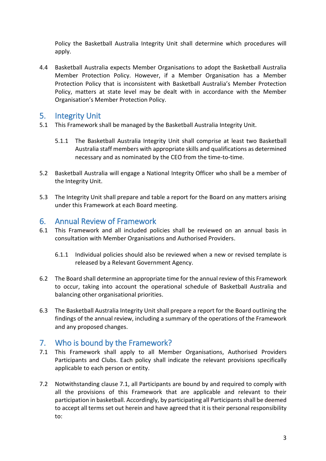Policy the Basketball Australia Integrity Unit shall determine which procedures will apply.

4.4 Basketball Australia expects Member Organisations to adopt the Basketball Australia Member Protection Policy. However, if a Member Organisation has a Member Protection Policy that is inconsistent with Basketball Australia's Member Protection Policy, matters at state level may be dealt with in accordance with the Member Organisation's Member Protection Policy.

# <span id="page-7-0"></span>5. Integrity Unit

- 5.1 This Framework shall be managed by the Basketball Australia Integrity Unit.
	- 5.1.1 The Basketball Australia Integrity Unit shall comprise at least two Basketball Australia staff members with appropriate skills and qualifications as determined necessary and as nominated by the CEO from the time-to-time.
- 5.2 Basketball Australia will engage a National Integrity Officer who shall be a member of the Integrity Unit.
- 5.3 The Integrity Unit shall prepare and table a report for the Board on any matters arising under this Framework at each Board meeting.

## <span id="page-7-1"></span>6. Annual Review of Framework

- 6.1 This Framework and all included policies shall be reviewed on an annual basis in consultation with Member Organisations and Authorised Providers.
	- 6.1.1 Individual policies should also be reviewed when a new or revised template is released by a Relevant Government Agency.
- 6.2 The Board shall determine an appropriate time for the annual review of this Framework to occur, taking into account the operational schedule of Basketball Australia and balancing other organisational priorities.
- 6.3 The Basketball Australia Integrity Unit shall prepare a report for the Board outlining the findings of the annual review, including a summary of the operations of the Framework and any proposed changes.

# <span id="page-7-2"></span>7. Who is bound by the Framework?

- 7.1 This Framework shall apply to all Member Organisations, Authorised Providers Participants and Clubs. Each policy shall indicate the relevant provisions specifically applicable to each person or entity.
- 7.2 Notwithstanding clause 7.1, all Participants are bound by and required to comply with all the provisions of this Framework that are applicable and relevant to their participation in basketball. Accordingly, by participating all Participantsshall be deemed to accept all terms set out herein and have agreed that it is their personal responsibility to: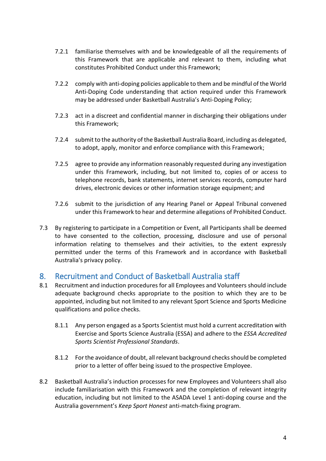- 7.2.1 familiarise themselves with and be knowledgeable of all the requirements of this Framework that are applicable and relevant to them, including what constitutes Prohibited Conduct under this Framework;
- 7.2.2 comply with anti-doping policies applicable to them and be mindful of the World Anti-Doping Code understanding that action required under this Framework may be addressed under Basketball Australia's Anti-Doping Policy;
- 7.2.3 act in a discreet and confidential manner in discharging their obligations under this Framework;
- 7.2.4 submit to the authority of the Basketball Australia Board, including as delegated, to adopt, apply, monitor and enforce compliance with this Framework;
- 7.2.5 agree to provide any information reasonably requested during any investigation under this Framework, including, but not limited to, copies of or access to telephone records, bank statements, internet services records, computer hard drives, electronic devices or other information storage equipment; and
- 7.2.6 submit to the jurisdiction of any Hearing Panel or Appeal Tribunal convened under this Framework to hear and determine allegations of Prohibited Conduct.
- 7.3 By registering to participate in a Competition or Event, all Participants shall be deemed to have consented to the collection, processing, disclosure and use of personal information relating to themselves and their activities, to the extent expressly permitted under the terms of this Framework and in accordance with Basketball Australia's privacy policy.

# <span id="page-8-0"></span>8. Recruitment and Conduct of Basketball Australia staff

- 8.1 Recruitment and induction procedures for all Employees and Volunteers should include adequate background checks appropriate to the position to which they are to be appointed, including but not limited to any relevant Sport Science and Sports Medicine qualifications and police checks.
	- 8.1.1 Any person engaged as a Sports Scientist must hold a current accreditation with Exercise and Sports Science Australia (ESSA) and adhere to the *ESSA Accredited Sports Scientist Professional Standards*.
	- 8.1.2 For the avoidance of doubt, all relevant background checks should be completed prior to a letter of offer being issued to the prospective Employee.
- 8.2 Basketball Australia's induction processes for new Employees and Volunteers shall also include familiarisation with this Framework and the completion of relevant integrity education, including but not limited to the ASADA Level 1 anti-doping course and the Australia government's *Keep Sport Honest* anti-match-fixing program.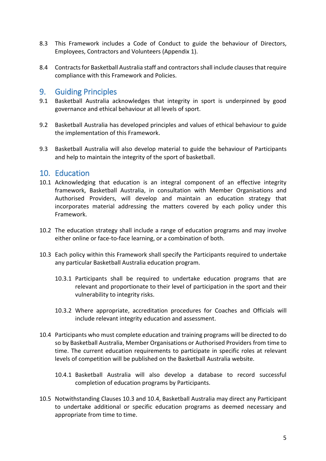- 8.3 This Framework includes a Code of Conduct to guide the behaviour of Directors, Employees, Contractors and Volunteers (Appendix 1).
- 8.4 Contracts for Basketball Australia staff and contractors shall include clauses that require compliance with this Framework and Policies.

## <span id="page-9-0"></span>9. Guiding Principles

- 9.1 Basketball Australia acknowledges that integrity in sport is underpinned by good governance and ethical behaviour at all levels of sport.
- 9.2 Basketball Australia has developed principles and values of ethical behaviour to guide the implementation of this Framework.
- 9.3 Basketball Australia will also develop material to guide the behaviour of Participants and help to maintain the integrity of the sport of basketball.

## <span id="page-9-1"></span>10. Education

- 10.1 Acknowledging that education is an integral component of an effective integrity framework, Basketball Australia, in consultation with Member Organisations and Authorised Providers, will develop and maintain an education strategy that incorporates material addressing the matters covered by each policy under this Framework.
- 10.2 The education strategy shall include a range of education programs and may involve either online or face-to-face learning, or a combination of both.
- 10.3 Each policy within this Framework shall specify the Participants required to undertake any particular Basketball Australia education program.
	- 10.3.1 Participants shall be required to undertake education programs that are relevant and proportionate to their level of participation in the sport and their vulnerability to integrity risks.
	- 10.3.2 Where appropriate, accreditation procedures for Coaches and Officials will include relevant integrity education and assessment.
- 10.4 Participants who must complete education and training programs will be directed to do so by Basketball Australia, Member Organisations or Authorised Providers from time to time. The current education requirements to participate in specific roles at relevant levels of competition will be published on the Basketball Australia website.
	- 10.4.1 Basketball Australia will also develop a database to record successful completion of education programs by Participants.
- 10.5 Notwithstanding Clauses 10.3 and 10.4, Basketball Australia may direct any Participant to undertake additional or specific education programs as deemed necessary and appropriate from time to time.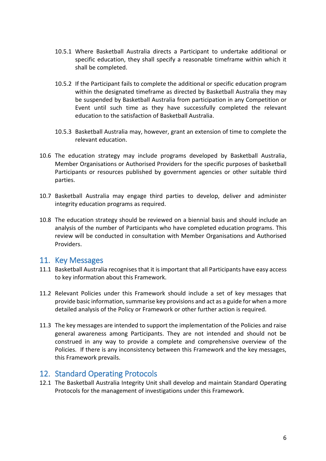- 10.5.1 Where Basketball Australia directs a Participant to undertake additional or specific education, they shall specify a reasonable timeframe within which it shall be completed.
- 10.5.2 If the Participant fails to complete the additional or specific education program within the designated timeframe as directed by Basketball Australia they may be suspended by Basketball Australia from participation in any Competition or Event until such time as they have successfully completed the relevant education to the satisfaction of Basketball Australia.
- 10.5.3 Basketball Australia may, however, grant an extension of time to complete the relevant education.
- 10.6 The education strategy may include programs developed by Basketball Australia, Member Organisations or Authorised Providers for the specific purposes of basketball Participants or resources published by government agencies or other suitable third parties.
- 10.7 Basketball Australia may engage third parties to develop, deliver and administer integrity education programs as required.
- 10.8 The education strategy should be reviewed on a biennial basis and should include an analysis of the number of Participants who have completed education programs. This review will be conducted in consultation with Member Organisations and Authorised Providers.

#### <span id="page-10-0"></span>11. Key Messages

- 11.1 Basketball Australia recognises that it is important that all Participants have easy access to key information about this Framework.
- 11.2 Relevant Policies under this Framework should include a set of key messages that provide basic information, summarise key provisions and act as a guide for when a more detailed analysis of the Policy or Framework or other further action is required.
- 11.3 The key messages are intended to support the implementation of the Policies and raise general awareness among Participants. They are not intended and should not be construed in any way to provide a complete and comprehensive overview of the Policies. If there is any inconsistency between this Framework and the key messages, this Framework prevails.

### <span id="page-10-1"></span>12. Standard Operating Protocols

12.1 The Basketball Australia Integrity Unit shall develop and maintain Standard Operating Protocols for the management of investigations under this Framework.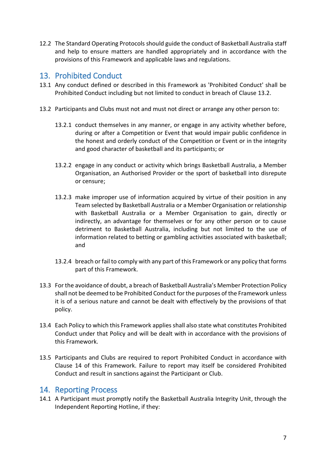12.2 The Standard Operating Protocols should guide the conduct of Basketball Australia staff and help to ensure matters are handled appropriately and in accordance with the provisions of this Framework and applicable laws and regulations.

# <span id="page-11-0"></span>13. Prohibited Conduct

- 13.1 Any conduct defined or described in this Framework as 'Prohibited Conduct' shall be Prohibited Conduct including but not limited to conduct in breach of Claus[e 13.2.](#page-11-2)
- <span id="page-11-2"></span>13.2 Participants and Clubs must not and must not direct or arrange any other person to:
	- 13.2.1 conduct themselves in any manner, or engage in any activity whether before, during or after a Competition or Event that would impair public confidence in the honest and orderly conduct of the Competition or Event or in the integrity and good character of basketball and its participants; or
	- 13.2.2 engage in any conduct or activity which brings Basketball Australia, a Member Organisation, an Authorised Provider or the sport of basketball into disrepute or censure;
	- 13.2.3 make improper use of information acquired by virtue of their position in any Team selected by Basketball Australia or a Member Organisation or relationship with Basketball Australia or a Member Organisation to gain, directly or indirectly, an advantage for themselves or for any other person or to cause detriment to Basketball Australia, including but not limited to the use of information related to betting or gambling activities associated with basketball; and
	- 13.2.4 breach or fail to comply with any part of this Framework or any policy that forms part of this Framework.
- 13.3 For the avoidance of doubt, a breach of Basketball Australia's Member Protection Policy shall not be deemed to be Prohibited Conduct for the purposes of the Framework unless it is of a serious nature and cannot be dealt with effectively by the provisions of that policy.
- 13.4 Each Policy to which this Framework applies shall also state what constitutes Prohibited Conduct under that Policy and will be dealt with in accordance with the provisions of this Framework.
- 13.5 Participants and Clubs are required to report Prohibited Conduct in accordance with Clause 14 of this Framework. Failure to report may itself be considered Prohibited Conduct and result in sanctions against the Participant or Club.

### <span id="page-11-1"></span>14. Reporting Process

14.1 A Participant must promptly notify the Basketball Australia Integrity Unit, through the Independent Reporting Hotline, if they: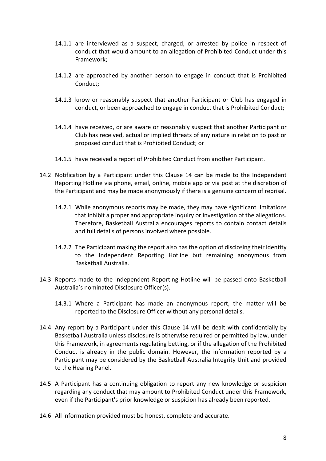- 14.1.1 are interviewed as a suspect, charged, or arrested by police in respect of conduct that would amount to an allegation of Prohibited Conduct under this Framework;
- 14.1.2 are approached by another person to engage in conduct that is Prohibited Conduct;
- 14.1.3 know or reasonably suspect that another Participant or Club has engaged in conduct, or been approached to engage in conduct that is Prohibited Conduct;
- 14.1.4 have received, or are aware or reasonably suspect that another Participant or Club has received, actual or implied threats of any nature in relation to past or proposed conduct that is Prohibited Conduct; or
- 14.1.5 have received a report of Prohibited Conduct from another Participant.
- 14.2 Notification by a Participant under this Clause 14 can be made to the Independent Reporting Hotline via phone, email, online, mobile app or via post at the discretion of the Participant and may be made anonymously if there is a genuine concern of reprisal.
	- 14.2.1 While anonymous reports may be made, they may have significant limitations that inhibit a proper and appropriate inquiry or investigation of the allegations. Therefore, Basketball Australia encourages reports to contain contact details and full details of persons involved where possible.
	- 14.2.2 The Participant making the report also has the option of disclosing their identity to the Independent Reporting Hotline but remaining anonymous from Basketball Australia.
- 14.3 Reports made to the Independent Reporting Hotline will be passed onto Basketball Australia's nominated Disclosure Officer(s).
	- 14.3.1 Where a Participant has made an anonymous report, the matter will be reported to the Disclosure Officer without any personal details.
- 14.4 Any report by a Participant under this Clause 14 will be dealt with confidentially by Basketball Australia unless disclosure is otherwise required or permitted by law, under this Framework, in agreements regulating betting, or if the allegation of the Prohibited Conduct is already in the public domain. However, the information reported by a Participant may be considered by the Basketball Australia Integrity Unit and provided to the Hearing Panel.
- 14.5 A Participant has a continuing obligation to report any new knowledge or suspicion regarding any conduct that may amount to Prohibited Conduct under this Framework, even if the Participant's prior knowledge or suspicion has already been reported.
- 14.6 All information provided must be honest, complete and accurate.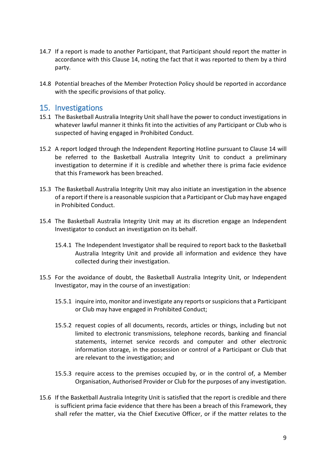- 14.7 If a report is made to another Participant, that Participant should report the matter in accordance with this Clause 14, noting the fact that it was reported to them by a third party.
- 14.8 Potential breaches of the Member Protection Policy should be reported in accordance with the specific provisions of that policy.

### <span id="page-13-0"></span>15. Investigations

- 15.1 The Basketball Australia Integrity Unit shall have the power to conduct investigations in whatever lawful manner it thinks fit into the activities of any Participant or Club who is suspected of having engaged in Prohibited Conduct.
- 15.2 A report lodged through the Independent Reporting Hotline pursuant to Clause 14 will be referred to the Basketball Australia Integrity Unit to conduct a preliminary investigation to determine if it is credible and whether there is prima facie evidence that this Framework has been breached.
- 15.3 The Basketball Australia Integrity Unit may also initiate an investigation in the absence of a report if there is a reasonable suspicion that a Participant or Club may have engaged in Prohibited Conduct.
- 15.4 The Basketball Australia Integrity Unit may at its discretion engage an Independent Investigator to conduct an investigation on its behalf.
	- 15.4.1 The Independent Investigator shall be required to report back to the Basketball Australia Integrity Unit and provide all information and evidence they have collected during their investigation.
- 15.5 For the avoidance of doubt, the Basketball Australia Integrity Unit, or Independent Investigator, may in the course of an investigation:
	- 15.5.1 inquire into, monitor and investigate any reports or suspicions that a Participant or Club may have engaged in Prohibited Conduct;
	- 15.5.2 request copies of all documents, records, articles or things, including but not limited to electronic transmissions, telephone records, banking and financial statements, internet service records and computer and other electronic information storage, in the possession or control of a Participant or Club that are relevant to the investigation; and
	- 15.5.3 require access to the premises occupied by, or in the control of, a Member Organisation, Authorised Provider or Club for the purposes of any investigation.
- 15.6 If the Basketball Australia Integrity Unit is satisfied that the report is credible and there is sufficient prima facie evidence that there has been a breach of this Framework, they shall refer the matter, via the Chief Executive Officer, or if the matter relates to the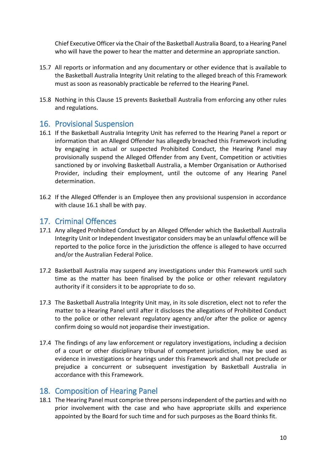Chief Executive Officer via the Chair of the Basketball Australia Board, to a Hearing Panel who will have the power to hear the matter and determine an appropriate sanction.

- 15.7 All reports or information and any documentary or other evidence that is available to the Basketball Australia Integrity Unit relating to the alleged breach of this Framework must as soon as reasonably practicable be referred to the Hearing Panel.
- 15.8 Nothing in this Clause 15 prevents Basketball Australia from enforcing any other rules and regulations.

## <span id="page-14-0"></span>16. Provisional Suspension

- 16.1 If the Basketball Australia Integrity Unit has referred to the Hearing Panel a report or information that an Alleged Offender has allegedly breached this Framework including by engaging in actual or suspected Prohibited Conduct, the Hearing Panel may provisionally suspend the Alleged Offender from any Event, Competition or activities sanctioned by or involving Basketball Australia, a Member Organisation or Authorised Provider, including their employment, until the outcome of any Hearing Panel determination.
- 16.2 If the Alleged Offender is an Employee then any provisional suspension in accordance with clause 16.1 shall be with pay.

# <span id="page-14-1"></span>17. Criminal Offences

- 17.1 Any alleged Prohibited Conduct by an Alleged Offender which the Basketball Australia Integrity Unit or Independent Investigator considers may be an unlawful offence will be reported to the police force in the jurisdiction the offence is alleged to have occurred and/or the Australian Federal Police.
- 17.2 Basketball Australia may suspend any investigations under this Framework until such time as the matter has been finalised by the police or other relevant regulatory authority if it considers it to be appropriate to do so.
- 17.3 The Basketball Australia Integrity Unit may, in its sole discretion, elect not to refer the matter to a Hearing Panel until after it discloses the allegations of Prohibited Conduct to the police or other relevant regulatory agency and/or after the police or agency confirm doing so would not jeopardise their investigation.
- 17.4 The findings of any law enforcement or regulatory investigations, including a decision of a court or other disciplinary tribunal of competent jurisdiction, may be used as evidence in investigations or hearings under this Framework and shall not preclude or prejudice a concurrent or subsequent investigation by Basketball Australia in accordance with this Framework.

# <span id="page-14-2"></span>18. Composition of Hearing Panel

18.1 The Hearing Panel must comprise three persons independent of the parties and with no prior involvement with the case and who have appropriate skills and experience appointed by the Board for such time and for such purposes as the Board thinks fit.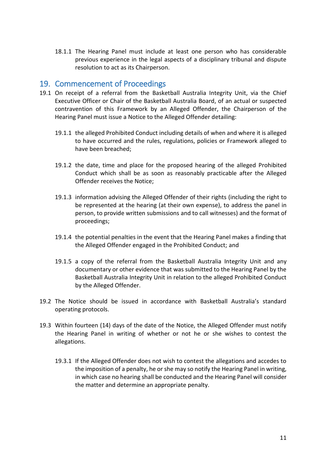18.1.1 The Hearing Panel must include at least one person who has considerable previous experience in the legal aspects of a disciplinary tribunal and dispute resolution to act as its Chairperson.

## <span id="page-15-0"></span>19. Commencement of Proceedings

- 19.1 On receipt of a referral from the Basketball Australia Integrity Unit, via the Chief Executive Officer or Chair of the Basketball Australia Board, of an actual or suspected contravention of this Framework by an Alleged Offender, the Chairperson of the Hearing Panel must issue a Notice to the Alleged Offender detailing:
	- 19.1.1 the alleged Prohibited Conduct including details of when and where it is alleged to have occurred and the rules, regulations, policies or Framework alleged to have been breached;
	- 19.1.2 the date, time and place for the proposed hearing of the alleged Prohibited Conduct which shall be as soon as reasonably practicable after the Alleged Offender receives the Notice;
	- 19.1.3 information advising the Alleged Offender of their rights (including the right to be represented at the hearing (at their own expense), to address the panel in person, to provide written submissions and to call witnesses) and the format of proceedings;
	- 19.1.4 the potential penalties in the event that the Hearing Panel makes a finding that the Alleged Offender engaged in the Prohibited Conduct; and
	- 19.1.5 a copy of the referral from the Basketball Australia Integrity Unit and any documentary or other evidence that was submitted to the Hearing Panel by the Basketball Australia Integrity Unit in relation to the alleged Prohibited Conduct by the Alleged Offender.
- 19.2 The Notice should be issued in accordance with Basketball Australia's standard operating protocols.
- 19.3 Within fourteen (14) days of the date of the Notice, the Alleged Offender must notify the Hearing Panel in writing of whether or not he or she wishes to contest the allegations.
	- 19.3.1 If the Alleged Offender does not wish to contest the allegations and accedes to the imposition of a penalty, he or she may so notify the Hearing Panel in writing, in which case no hearing shall be conducted and the Hearing Panel will consider the matter and determine an appropriate penalty.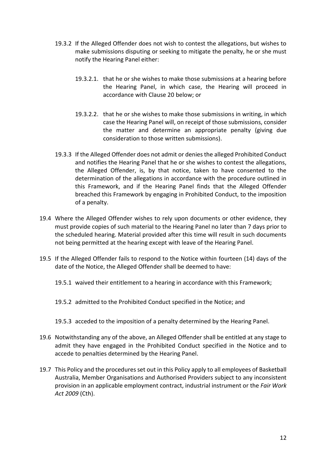- 19.3.2 If the Alleged Offender does not wish to contest the allegations, but wishes to make submissions disputing or seeking to mitigate the penalty, he or she must notify the Hearing Panel either:
	- 19.3.2.1. that he or she wishes to make those submissions at a hearing before the Hearing Panel, in which case, the Hearing will proceed in accordance with Clause 20 below; or
	- 19.3.2.2. that he or she wishes to make those submissions in writing, in which case the Hearing Panel will, on receipt of those submissions, consider the matter and determine an appropriate penalty (giving due consideration to those written submissions).
- 19.3.3 If the Alleged Offender does not admit or denies the alleged Prohibited Conduct and notifies the Hearing Panel that he or she wishes to contest the allegations, the Alleged Offender, is, by that notice, taken to have consented to the determination of the allegations in accordance with the procedure outlined in this Framework, and if the Hearing Panel finds that the Alleged Offender breached this Framework by engaging in Prohibited Conduct, to the imposition of a penalty.
- 19.4 Where the Alleged Offender wishes to rely upon documents or other evidence, they must provide copies of such material to the Hearing Panel no later than 7 days prior to the scheduled hearing. Material provided after this time will result in such documents not being permitted at the hearing except with leave of the Hearing Panel.
- 19.5 If the Alleged Offender fails to respond to the Notice within fourteen (14) days of the date of the Notice, the Alleged Offender shall be deemed to have:
	- 19.5.1 waived their entitlement to a hearing in accordance with this Framework;
	- 19.5.2 admitted to the Prohibited Conduct specified in the Notice; and
	- 19.5.3 acceded to the imposition of a penalty determined by the Hearing Panel.
- 19.6 Notwithstanding any of the above, an Alleged Offender shall be entitled at any stage to admit they have engaged in the Prohibited Conduct specified in the Notice and to accede to penalties determined by the Hearing Panel.
- 19.7 This Policy and the procedures set out in this Policy apply to all employees of Basketball Australia, Member Organisations and Authorised Providers subject to any inconsistent provision in an applicable employment contract, industrial instrument or the *Fair Work Act 2009* (Cth).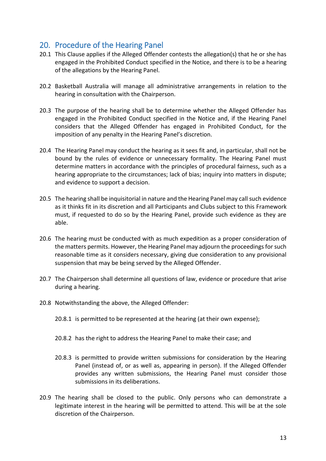# <span id="page-17-0"></span>20. Procedure of the Hearing Panel

- 20.1 This Clause applies if the Alleged Offender contests the allegation(s) that he or she has engaged in the Prohibited Conduct specified in the Notice, and there is to be a hearing of the allegations by the Hearing Panel.
- 20.2 Basketball Australia will manage all administrative arrangements in relation to the hearing in consultation with the Chairperson.
- 20.3 The purpose of the hearing shall be to determine whether the Alleged Offender has engaged in the Prohibited Conduct specified in the Notice and, if the Hearing Panel considers that the Alleged Offender has engaged in Prohibited Conduct, for the imposition of any penalty in the Hearing Panel's discretion.
- 20.4 The Hearing Panel may conduct the hearing as it sees fit and, in particular, shall not be bound by the rules of evidence or unnecessary formality. The Hearing Panel must determine matters in accordance with the principles of procedural fairness, such as a hearing appropriate to the circumstances; lack of bias; inquiry into matters in dispute; and evidence to support a decision.
- 20.5 The hearing shall be inquisitorial in nature and the Hearing Panel may call such evidence as it thinks fit in its discretion and all Participants and Clubs subject to this Framework must, if requested to do so by the Hearing Panel, provide such evidence as they are able.
- 20.6 The hearing must be conducted with as much expedition as a proper consideration of the matters permits. However, the Hearing Panel may adjourn the proceedings for such reasonable time as it considers necessary, giving due consideration to any provisional suspension that may be being served by the Alleged Offender.
- 20.7 The Chairperson shall determine all questions of law, evidence or procedure that arise during a hearing.
- 20.8 Notwithstanding the above, the Alleged Offender:
	- 20.8.1 is permitted to be represented at the hearing (at their own expense);
	- 20.8.2 has the right to address the Hearing Panel to make their case; and
	- 20.8.3 is permitted to provide written submissions for consideration by the Hearing Panel (instead of, or as well as, appearing in person). If the Alleged Offender provides any written submissions, the Hearing Panel must consider those submissions in its deliberations.
- 20.9 The hearing shall be closed to the public. Only persons who can demonstrate a legitimate interest in the hearing will be permitted to attend. This will be at the sole discretion of the Chairperson.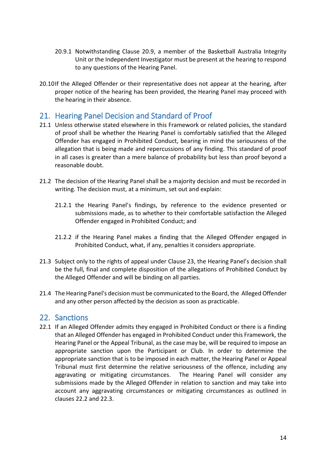- 20.9.1 Notwithstanding Clause 20.9, a member of the Basketball Australia Integrity Unit or the Independent Investigator must be present at the hearing to respond to any questions of the Hearing Panel.
- 20.10If the Alleged Offender or their representative does not appear at the hearing, after proper notice of the hearing has been provided, the Hearing Panel may proceed with the hearing in their absence.

# <span id="page-18-0"></span>21. Hearing Panel Decision and Standard of Proof

- 21.1 Unless otherwise stated elsewhere in this Framework or related policies, the standard of proof shall be whether the Hearing Panel is comfortably satisfied that the Alleged Offender has engaged in Prohibited Conduct, bearing in mind the seriousness of the allegation that is being made and repercussions of any finding. This standard of proof in all cases is greater than a mere balance of probability but less than proof beyond a reasonable doubt.
- 21.2 The decision of the Hearing Panel shall be a majority decision and must be recorded in writing. The decision must, at a minimum, set out and explain:
	- 21.2.1 the Hearing Panel's findings, by reference to the evidence presented or submissions made, as to whether to their comfortable satisfaction the Alleged Offender engaged in Prohibited Conduct; and
	- 21.2.2 if the Hearing Panel makes a finding that the Alleged Offender engaged in Prohibited Conduct, what, if any, penalties it considers appropriate.
- 21.3 Subject only to the rights of appeal under Clause 23, the Hearing Panel's decision shall be the full, final and complete disposition of the allegations of Prohibited Conduct by the Alleged Offender and will be binding on all parties.
- 21.4 The Hearing Panel's decision must be communicated to the Board, the Alleged Offender and any other person affected by the decision as soon as practicable.

### <span id="page-18-1"></span>22. Sanctions

22.1 If an Alleged Offender admits they engaged in Prohibited Conduct or there is a finding that an Alleged Offender has engaged in Prohibited Conduct under this Framework, the Hearing Panel or the Appeal Tribunal, as the case may be, will be required to impose an appropriate sanction upon the Participant or Club. In order to determine the appropriate sanction that is to be imposed in each matter, the Hearing Panel or Appeal Tribunal must first determine the relative seriousness of the offence, including any aggravating or mitigating circumstances. The Hearing Panel will consider any submissions made by the Alleged Offender in relation to sanction and may take into account any aggravating circumstances or mitigating circumstances as outlined in clauses [22.2](#page-19-0) and [22.3.](#page-19-1)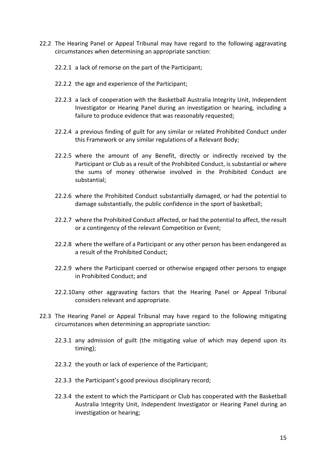- <span id="page-19-0"></span>22.2 The Hearing Panel or Appeal Tribunal may have regard to the following aggravating circumstances when determining an appropriate sanction:
	- 22.2.1 a lack of remorse on the part of the Participant;
	- 22.2.2 the age and experience of the Participant;
	- 22.2.3 a lack of cooperation with the Basketball Australia Integrity Unit, Independent Investigator or Hearing Panel during an investigation or hearing, including a failure to produce evidence that was reasonably requested;
	- 22.2.4 a previous finding of guilt for any similar or related Prohibited Conduct under this Framework or any similar regulations of a Relevant Body;
	- 22.2.5 where the amount of any Benefit, directly or indirectly received by the Participant or Club as a result of the Prohibited Conduct, is substantial or where the sums of money otherwise involved in the Prohibited Conduct are substantial;
	- 22.2.6 where the Prohibited Conduct substantially damaged, or had the potential to damage substantially, the public confidence in the sport of basketball;
	- 22.2.7 where the Prohibited Conduct affected, or had the potential to affect, the result or a contingency of the relevant Competition or Event;
	- 22.2.8 where the welfare of a Participant or any other person has been endangered as a result of the Prohibited Conduct;
	- 22.2.9 where the Participant coerced or otherwise engaged other persons to engage in Prohibited Conduct; and
	- 22.2.10any other aggravating factors that the Hearing Panel or Appeal Tribunal considers relevant and appropriate.
- <span id="page-19-1"></span>22.3 The Hearing Panel or Appeal Tribunal may have regard to the following mitigating circumstances when determining an appropriate sanction:
	- 22.3.1 any admission of guilt (the mitigating value of which may depend upon its timing);
	- 22.3.2 the youth or lack of experience of the Participant;
	- 22.3.3 the Participant's good previous disciplinary record;
	- 22.3.4 the extent to which the Participant or Club has cooperated with the Basketball Australia Integrity Unit, Independent Investigator or Hearing Panel during an investigation or hearing;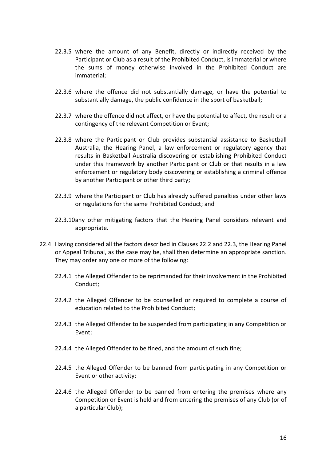- 22.3.5 where the amount of any Benefit, directly or indirectly received by the Participant or Club as a result of the Prohibited Conduct, is immaterial or where the sums of money otherwise involved in the Prohibited Conduct are immaterial;
- 22.3.6 where the offence did not substantially damage, or have the potential to substantially damage, the public confidence in the sport of basketball;
- 22.3.7 where the offence did not affect, or have the potential to affect, the result or a contingency of the relevant Competition or Event;
- 22.3.8 where the Participant or Club provides substantial assistance to Basketball Australia, the Hearing Panel, a law enforcement or regulatory agency that results in Basketball Australia discovering or establishing Prohibited Conduct under this Framework by another Participant or Club or that results in a law enforcement or regulatory body discovering or establishing a criminal offence by another Participant or other third party;
- 22.3.9 where the Participant or Club has already suffered penalties under other laws or regulations for the same Prohibited Conduct; and
- 22.3.10any other mitigating factors that the Hearing Panel considers relevant and appropriate.
- 22.4 Having considered all the factors described in Clauses 22.2 and 22.3, the Hearing Panel or Appeal Tribunal, as the case may be, shall then determine an appropriate sanction. They may order any one or more of the following:
	- 22.4.1 the Alleged Offender to be reprimanded for their involvement in the Prohibited Conduct;
	- 22.4.2 the Alleged Offender to be counselled or required to complete a course of education related to the Prohibited Conduct;
	- 22.4.3 the Alleged Offender to be suspended from participating in any Competition or Event;
	- 22.4.4 the Alleged Offender to be fined, and the amount of such fine;
	- 22.4.5 the Alleged Offender to be banned from participating in any Competition or Event or other activity;
	- 22.4.6 the Alleged Offender to be banned from entering the premises where any Competition or Event is held and from entering the premises of any Club (or of a particular Club);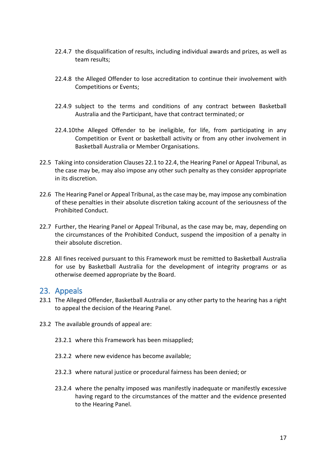- 22.4.7 the disqualification of results, including individual awards and prizes, as well as team results;
- 22.4.8 the Alleged Offender to lose accreditation to continue their involvement with Competitions or Events;
- 22.4.9 subject to the terms and conditions of any contract between Basketball Australia and the Participant, have that contract terminated; or
- 22.4.10the Alleged Offender to be ineligible, for life, from participating in any Competition or Event or basketball activity or from any other involvement in Basketball Australia or Member Organisations.
- 22.5 Taking into consideration Clauses 22.1 to 22.4, the Hearing Panel or Appeal Tribunal, as the case may be, may also impose any other such penalty as they consider appropriate in its discretion.
- 22.6 The Hearing Panel or Appeal Tribunal, as the case may be, may impose any combination of these penalties in their absolute discretion taking account of the seriousness of the Prohibited Conduct.
- 22.7 Further, the Hearing Panel or Appeal Tribunal, as the case may be, may, depending on the circumstances of the Prohibited Conduct, suspend the imposition of a penalty in their absolute discretion.
- 22.8 All fines received pursuant to this Framework must be remitted to Basketball Australia for use by Basketball Australia for the development of integrity programs or as otherwise deemed appropriate by the Board.

### <span id="page-21-0"></span>23. Appeals

- 23.1 The Alleged Offender, Basketball Australia or any other party to the hearing has a right to appeal the decision of the Hearing Panel.
- 23.2 The available grounds of appeal are:
	- 23.2.1 where this Framework has been misapplied;
	- 23.2.2 where new evidence has become available;
	- 23.2.3 where natural justice or procedural fairness has been denied; or
	- 23.2.4 where the penalty imposed was manifestly inadequate or manifestly excessive having regard to the circumstances of the matter and the evidence presented to the Hearing Panel.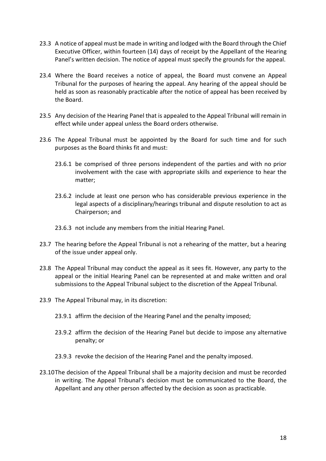- 23.3 A notice of appeal must be made in writing and lodged with the Board through the Chief Executive Officer, within fourteen (14) days of receipt by the Appellant of the Hearing Panel's written decision. The notice of appeal must specify the grounds for the appeal.
- 23.4 Where the Board receives a notice of appeal, the Board must convene an Appeal Tribunal for the purposes of hearing the appeal. Any hearing of the appeal should be held as soon as reasonably practicable after the notice of appeal has been received by the Board.
- 23.5 Any decision of the Hearing Panel that is appealed to the Appeal Tribunal will remain in effect while under appeal unless the Board orders otherwise.
- 23.6 The Appeal Tribunal must be appointed by the Board for such time and for such purposes as the Board thinks fit and must:
	- 23.6.1 be comprised of three persons independent of the parties and with no prior involvement with the case with appropriate skills and experience to hear the matter;
	- 23.6.2 include at least one person who has considerable previous experience in the legal aspects of a disciplinary/hearings tribunal and dispute resolution to act as Chairperson; and
	- 23.6.3 not include any members from the initial Hearing Panel.
- 23.7 The hearing before the Appeal Tribunal is not a rehearing of the matter, but a hearing of the issue under appeal only.
- 23.8 The Appeal Tribunal may conduct the appeal as it sees fit. However, any party to the appeal or the initial Hearing Panel can be represented at and make written and oral submissions to the Appeal Tribunal subject to the discretion of the Appeal Tribunal.
- 23.9 The Appeal Tribunal may, in its discretion:
	- 23.9.1 affirm the decision of the Hearing Panel and the penalty imposed;
	- 23.9.2 affirm the decision of the Hearing Panel but decide to impose any alternative penalty; or
	- 23.9.3 revoke the decision of the Hearing Panel and the penalty imposed.
- 23.10The decision of the Appeal Tribunal shall be a majority decision and must be recorded in writing. The Appeal Tribunal's decision must be communicated to the Board, the Appellant and any other person affected by the decision as soon as practicable.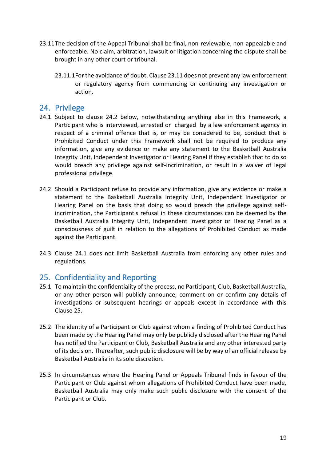- 23.11The decision of the Appeal Tribunal shall be final, non-reviewable, non-appealable and enforceable. No claim, arbitration, lawsuit or litigation concerning the dispute shall be brought in any other court or tribunal.
	- 23.11.1For the avoidance of doubt, Clause 23.11 does not prevent any law enforcement or regulatory agency from commencing or continuing any investigation or action.

# <span id="page-23-0"></span>24. Privilege

- 24.1 Subject to clause 24.2 below, notwithstanding anything else in this Framework, a Participant who is interviewed, arrested or charged by a law enforcement agency in respect of a criminal offence that is, or may be considered to be, conduct that is Prohibited Conduct under this Framework shall not be required to produce any information, give any evidence or make any statement to the Basketball Australia Integrity Unit, Independent Investigator or Hearing Panel if they establish that to do so would breach any privilege against self-incrimination, or result in a waiver of legal professional privilege.
- 24.2 Should a Participant refuse to provide any information, give any evidence or make a statement to the Basketball Australia Integrity Unit, Independent Investigator or Hearing Panel on the basis that doing so would breach the privilege against selfincrimination, the Participant's refusal in these circumstances can be deemed by the Basketball Australia Integrity Unit, Independent Investigator or Hearing Panel as a consciousness of guilt in relation to the allegations of Prohibited Conduct as made against the Participant.
- 24.3 Clause 24.1 does not limit Basketball Australia from enforcing any other rules and regulations.

# <span id="page-23-1"></span>25. Confidentiality and Reporting

- 25.1 To maintain the confidentiality of the process, no Participant, Club, Basketball Australia, or any other person will publicly announce, comment on or confirm any details of investigations or subsequent hearings or appeals except in accordance with this Clause 25.
- 25.2 The identity of a Participant or Club against whom a finding of Prohibited Conduct has been made by the Hearing Panel may only be publicly disclosed after the Hearing Panel has notified the Participant or Club, Basketball Australia and any other interested party of its decision. Thereafter, such public disclosure will be by way of an official release by Basketball Australia in its sole discretion.
- 25.3 In circumstances where the Hearing Panel or Appeals Tribunal finds in favour of the Participant or Club against whom allegations of Prohibited Conduct have been made, Basketball Australia may only make such public disclosure with the consent of the Participant or Club.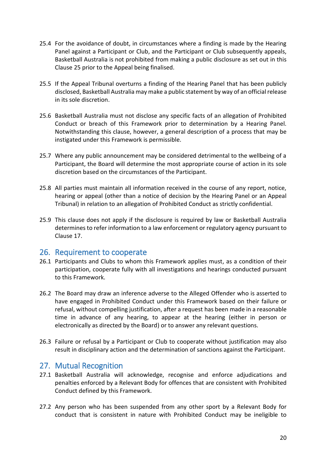- 25.4 For the avoidance of doubt, in circumstances where a finding is made by the Hearing Panel against a Participant or Club, and the Participant or Club subsequently appeals, Basketball Australia is not prohibited from making a public disclosure as set out in this Clause 25 prior to the Appeal being finalised.
- 25.5 If the Appeal Tribunal overturns a finding of the Hearing Panel that has been publicly disclosed, Basketball Australia may make a public statement by way of an official release in its sole discretion.
- 25.6 Basketball Australia must not disclose any specific facts of an allegation of Prohibited Conduct or breach of this Framework prior to determination by a Hearing Panel. Notwithstanding this clause, however, a general description of a process that may be instigated under this Framework is permissible.
- 25.7 Where any public announcement may be considered detrimental to the wellbeing of a Participant, the Board will determine the most appropriate course of action in its sole discretion based on the circumstances of the Participant.
- 25.8 All parties must maintain all information received in the course of any report, notice, hearing or appeal (other than a notice of decision by the Hearing Panel or an Appeal Tribunal) in relation to an allegation of Prohibited Conduct as strictly confidential.
- 25.9 This clause does not apply if the disclosure is required by law or Basketball Australia determines to refer information to a law enforcement or regulatory agency pursuant to Clause 17.

### <span id="page-24-0"></span>26. Requirement to cooperate

- 26.1 Participants and Clubs to whom this Framework applies must, as a condition of their participation, cooperate fully with all investigations and hearings conducted pursuant to this Framework.
- 26.2 The Board may draw an inference adverse to the Alleged Offender who is asserted to have engaged in Prohibited Conduct under this Framework based on their failure or refusal, without compelling justification, after a request has been made in a reasonable time in advance of any hearing, to appear at the hearing (either in person or electronically as directed by the Board) or to answer any relevant questions.
- 26.3 Failure or refusal by a Participant or Club to cooperate without justification may also result in disciplinary action and the determination of sanctions against the Participant.

### <span id="page-24-1"></span>27. Mutual Recognition

- 27.1 Basketball Australia will acknowledge, recognise and enforce adjudications and penalties enforced by a Relevant Body for offences that are consistent with Prohibited Conduct defined by this Framework.
- 27.2 Any person who has been suspended from any other sport by a Relevant Body for conduct that is consistent in nature with Prohibited Conduct may be ineligible to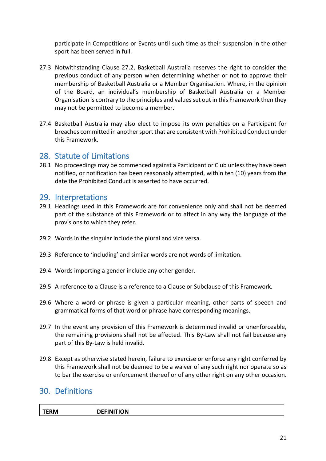participate in Competitions or Events until such time as their suspension in the other sport has been served in full.

- 27.3 Notwithstanding Clause 27.2, Basketball Australia reserves the right to consider the previous conduct of any person when determining whether or not to approve their membership of Basketball Australia or a Member Organisation. Where, in the opinion of the Board, an individual's membership of Basketball Australia or a Member Organisation is contrary to the principles and values set out in this Framework then they may not be permitted to become a member.
- 27.4 Basketball Australia may also elect to impose its own penalties on a Participant for breaches committed in another sport that are consistent with Prohibited Conduct under this Framework.

# <span id="page-25-0"></span>28. Statute of Limitations

28.1 No proceedings may be commenced against a Participant or Club unless they have been notified, or notification has been reasonably attempted, within ten (10) years from the date the Prohibited Conduct is asserted to have occurred.

### <span id="page-25-1"></span>29. Interpretations

- 29.1 Headings used in this Framework are for convenience only and shall not be deemed part of the substance of this Framework or to affect in any way the language of the provisions to which they refer.
- 29.2 Words in the singular include the plural and vice versa.
- 29.3 Reference to 'including' and similar words are not words of limitation.
- 29.4 Words importing a gender include any other gender.
- 29.5 A reference to a Clause is a reference to a Clause or Subclause of this Framework.
- 29.6 Where a word or phrase is given a particular meaning, other parts of speech and grammatical forms of that word or phrase have corresponding meanings.
- 29.7 In the event any provision of this Framework is determined invalid or unenforceable, the remaining provisions shall not be affected. This By-Law shall not fail because any part of this By-Law is held invalid.
- 29.8 Except as otherwise stated herein, failure to exercise or enforce any right conferred by this Framework shall not be deemed to be a waiver of any such right nor operate so as to bar the exercise or enforcement thereof or of any other right on any other occasion.

# <span id="page-25-2"></span>30. Definitions

| TFRM<br> | <b>DEFINITION</b> |
|----------|-------------------|
|          |                   |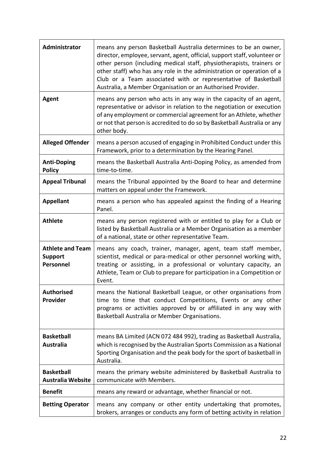| Administrator                                          | means any person Basketball Australia determines to be an owner,<br>director, employee, servant, agent, official, support staff, volunteer or<br>other person (including medical staff, physiotherapists, trainers or<br>other staff) who has any role in the administration or operation of a<br>Club or a Team associated with or representative of Basketball<br>Australia, a Member Organisation or an Authorised Provider. |
|--------------------------------------------------------|---------------------------------------------------------------------------------------------------------------------------------------------------------------------------------------------------------------------------------------------------------------------------------------------------------------------------------------------------------------------------------------------------------------------------------|
| Agent                                                  | means any person who acts in any way in the capacity of an agent,<br>representative or advisor in relation to the negotiation or execution<br>of any employment or commercial agreement for an Athlete, whether<br>or not that person is accredited to do so by Basketball Australia or any<br>other body.                                                                                                                      |
| <b>Alleged Offender</b>                                | means a person accused of engaging in Prohibited Conduct under this<br>Framework, prior to a determination by the Hearing Panel.                                                                                                                                                                                                                                                                                                |
| <b>Anti-Doping</b><br><b>Policy</b>                    | means the Basketball Australia Anti-Doping Policy, as amended from<br>time-to-time.                                                                                                                                                                                                                                                                                                                                             |
| <b>Appeal Tribunal</b>                                 | means the Tribunal appointed by the Board to hear and determine<br>matters on appeal under the Framework.                                                                                                                                                                                                                                                                                                                       |
| <b>Appellant</b>                                       | means a person who has appealed against the finding of a Hearing<br>Panel.                                                                                                                                                                                                                                                                                                                                                      |
| <b>Athlete</b>                                         | means any person registered with or entitled to play for a Club or<br>listed by Basketball Australia or a Member Organisation as a member<br>of a national, state or other representative Team.                                                                                                                                                                                                                                 |
| <b>Athlete and Team</b><br><b>Support</b><br>Personnel | means any coach, trainer, manager, agent, team staff member,<br>scientist, medical or para-medical or other personnel working with,<br>treating or assisting, in a professional or voluntary capacity, an<br>Athlete, Team or Club to prepare for participation in a Competition or<br>Event.                                                                                                                                   |
| <b>Authorised</b><br>Provider                          | means the National Basketball League, or other organisations from<br>time to time that conduct Competitions, Events or any other<br>programs or activities approved by or affiliated in any way with<br>Basketball Australia or Member Organisations.                                                                                                                                                                           |
| <b>Basketball</b><br><b>Australia</b>                  | means BA Limited (ACN 072 484 992), trading as Basketball Australia,<br>which is recognised by the Australian Sports Commission as a National<br>Sporting Organisation and the peak body for the sport of basketball in<br>Australia.                                                                                                                                                                                           |
| <b>Basketball</b><br><b>Australia Website</b>          | means the primary website administered by Basketball Australia to<br>communicate with Members.                                                                                                                                                                                                                                                                                                                                  |
| <b>Benefit</b>                                         | means any reward or advantage, whether financial or not.                                                                                                                                                                                                                                                                                                                                                                        |
| <b>Betting Operator</b>                                | means any company or other entity undertaking that promotes,<br>brokers, arranges or conducts any form of betting activity in relation                                                                                                                                                                                                                                                                                          |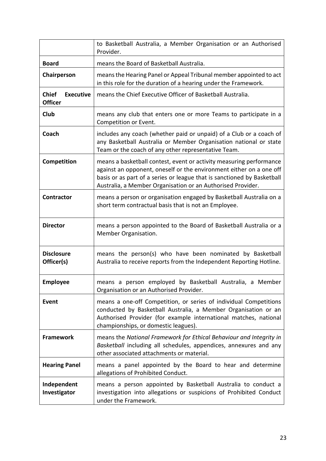|                                                    | to Basketball Australia, a Member Organisation or an Authorised<br>Provider.                                                                                                                                                                                                         |
|----------------------------------------------------|--------------------------------------------------------------------------------------------------------------------------------------------------------------------------------------------------------------------------------------------------------------------------------------|
| <b>Board</b>                                       | means the Board of Basketball Australia.                                                                                                                                                                                                                                             |
| Chairperson                                        | means the Hearing Panel or Appeal Tribunal member appointed to act<br>in this role for the duration of a hearing under the Framework.                                                                                                                                                |
| <b>Chief</b><br><b>Executive</b><br><b>Officer</b> | means the Chief Executive Officer of Basketball Australia.                                                                                                                                                                                                                           |
| <b>Club</b>                                        | means any club that enters one or more Teams to participate in a<br>Competition or Event.                                                                                                                                                                                            |
| Coach                                              | includes any coach (whether paid or unpaid) of a Club or a coach of<br>any Basketball Australia or Member Organisation national or state<br>Team or the coach of any other representative Team.                                                                                      |
| Competition                                        | means a basketball contest, event or activity measuring performance<br>against an opponent, oneself or the environment either on a one off<br>basis or as part of a series or league that is sanctioned by Basketball<br>Australia, a Member Organisation or an Authorised Provider. |
| <b>Contractor</b>                                  | means a person or organisation engaged by Basketball Australia on a<br>short term contractual basis that is not an Employee.                                                                                                                                                         |
| <b>Director</b>                                    | means a person appointed to the Board of Basketball Australia or a<br>Member Organisation.                                                                                                                                                                                           |
| <b>Disclosure</b><br>Officer(s)                    | means the person(s) who have been nominated by Basketball<br>Australia to receive reports from the Independent Reporting Hotline.                                                                                                                                                    |
| <b>Employee</b>                                    | means a person employed by Basketball Australia, a<br>Member<br>Organisation or an Authorised Provider.                                                                                                                                                                              |
| Event                                              | means a one-off Competition, or series of individual Competitions<br>conducted by Basketball Australia, a Member Organisation or an<br>Authorised Provider (for example international matches, national<br>championships, or domestic leagues).                                      |
| <b>Framework</b>                                   | means the National Framework for Ethical Behaviour and Integrity in<br>Basketball including all schedules, appendices, annexures and any<br>other associated attachments or material.                                                                                                |
| <b>Hearing Panel</b>                               | means a panel appointed by the Board to hear and determine<br>allegations of Prohibited Conduct.                                                                                                                                                                                     |
| Independent<br>Investigator                        | means a person appointed by Basketball Australia to conduct a<br>investigation into allegations or suspicions of Prohibited Conduct<br>under the Framework.                                                                                                                          |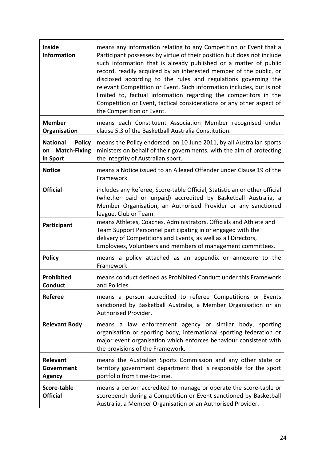| <b>Inside</b><br><b>Information</b>                             | means any information relating to any Competition or Event that a<br>Participant possesses by virtue of their position but does not include<br>such information that is already published or a matter of public<br>record, readily acquired by an interested member of the public, or<br>disclosed according to the rules and regulations governing the<br>relevant Competition or Event. Such information includes, but is not<br>limited to, factual information regarding the competitors in the<br>Competition or Event, tactical considerations or any other aspect of<br>the Competition or Event. |
|-----------------------------------------------------------------|----------------------------------------------------------------------------------------------------------------------------------------------------------------------------------------------------------------------------------------------------------------------------------------------------------------------------------------------------------------------------------------------------------------------------------------------------------------------------------------------------------------------------------------------------------------------------------------------------------|
| <b>Member</b><br>Organisation                                   | means each Constituent Association Member recognised under<br>clause 5.3 of the Basketball Australia Constitution.                                                                                                                                                                                                                                                                                                                                                                                                                                                                                       |
| <b>National</b><br><b>Policy</b><br>on Match-Fixing<br>in Sport | means the Policy endorsed, on 10 June 2011, by all Australian sports<br>ministers on behalf of their governments, with the aim of protecting<br>the integrity of Australian sport.                                                                                                                                                                                                                                                                                                                                                                                                                       |
| <b>Notice</b>                                                   | means a Notice issued to an Alleged Offender under Clause 19 of the<br>Framework.                                                                                                                                                                                                                                                                                                                                                                                                                                                                                                                        |
| <b>Official</b>                                                 | includes any Referee, Score-table Official, Statistician or other official<br>(whether paid or unpaid) accredited by Basketball Australia, a<br>Member Organisation, an Authorised Provider or any sanctioned<br>league, Club or Team.                                                                                                                                                                                                                                                                                                                                                                   |
| Participant                                                     | means Athletes, Coaches, Administrators, Officials and Athlete and<br>Team Support Personnel participating in or engaged with the<br>delivery of Competitions and Events, as well as all Directors,<br>Employees, Volunteers and members of management committees.                                                                                                                                                                                                                                                                                                                                       |
| <b>Policy</b>                                                   | means a policy attached as an appendix or annexure to the<br>Framework.                                                                                                                                                                                                                                                                                                                                                                                                                                                                                                                                  |
| <b>Prohibited</b><br><b>Conduct</b>                             | means conduct defined as Prohibited Conduct under this Framework<br>and Policies                                                                                                                                                                                                                                                                                                                                                                                                                                                                                                                         |
| <b>Referee</b>                                                  | means a person accredited to referee Competitions or Events<br>sanctioned by Basketball Australia, a Member Organisation or an<br>Authorised Provider.                                                                                                                                                                                                                                                                                                                                                                                                                                                   |
| <b>Relevant Body</b>                                            | means a law enforcement agency or similar body, sporting<br>organisation or sporting body, international sporting federation or<br>major event organisation which enforces behaviour consistent with<br>the provisions of the Framework.                                                                                                                                                                                                                                                                                                                                                                 |
| Relevant<br>Government<br><b>Agency</b>                         | means the Australian Sports Commission and any other state or<br>territory government department that is responsible for the sport<br>portfolio from time-to-time.                                                                                                                                                                                                                                                                                                                                                                                                                                       |
| Score-table<br><b>Official</b>                                  | means a person accredited to manage or operate the score-table or<br>scorebench during a Competition or Event sanctioned by Basketball<br>Australia, a Member Organisation or an Authorised Provider.                                                                                                                                                                                                                                                                                                                                                                                                    |